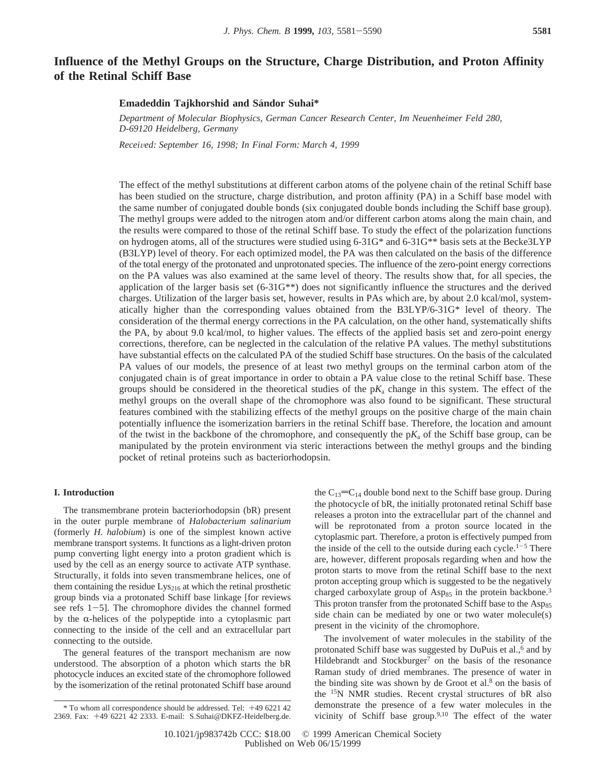# **Influence of the Methyl Groups on the Structure, Charge Distribution, and Proton Affinity of the Retinal Schiff Base**

## **Emadeddin Tajkhorshid and Sándor Suhai\***

*Department of Molecular Biophysics, German Cancer Research Center, Im Neuenheimer Feld 280, D-69120 Heidelberg, Germany*

*Recei*V*ed: September 16, 1998; In Final Form: March 4, 1999*

The effect of the methyl substitutions at different carbon atoms of the polyene chain of the retinal Schiff base has been studied on the structure, charge distribution, and proton affinity (PA) in a Schiff base model with the same number of conjugated double bonds (six conjugated double bonds including the Schiff base group). The methyl groups were added to the nitrogen atom and/or different carbon atoms along the main chain, and the results were compared to those of the retinal Schiff base. To study the effect of the polarization functions on hydrogen atoms, all of the structures were studied using 6-31G\* and 6-31G\*\* basis sets at the Becke3LYP (B3LYP) level of theory. For each optimized model, the PA was then calculated on the basis of the difference of the total energy of the protonated and unprotonated species. The influence of the zero-point energy corrections on the PA values was also examined at the same level of theory. The results show that, for all species, the application of the larger basis set (6-31G\*\*) does not significantly influence the structures and the derived charges. Utilization of the larger basis set, however, results in PAs which are, by about 2.0 kcal/mol, systematically higher than the corresponding values obtained from the B3LYP/6-31G\* level of theory. The consideration of the thermal energy corrections in the PA calculation, on the other hand, systematically shifts the PA, by about 9.0 kcal/mol, to higher values. The effects of the applied basis set and zero-point energy corrections, therefore, can be neglected in the calculation of the relative PA values. The methyl substitutions have substantial effects on the calculated PA of the studied Schiff base structures. On the basis of the calculated PA values of our models, the presence of at least two methyl groups on the terminal carbon atom of the conjugated chain is of great importance in order to obtain a PA value close to the retinal Schiff base. These groups should be considered in the theoretical studies of the  $pK_a$  change in this system. The effect of the methyl groups on the overall shape of the chromophore was also found to be significant. These structural features combined with the stabilizing effects of the methyl groups on the positive charge of the main chain potentially influence the isomerization barriers in the retinal Schiff base. Therefore, the location and amount of the twist in the backbone of the chromophore, and consequently the  $pK_a$  of the Schiff base group, can be manipulated by the protein environment via steric interactions between the methyl groups and the binding pocket of retinal proteins such as bacteriorhodopsin.

### **I. Introduction**

The transmembrane protein bacteriorhodopsin (bR) present in the outer purple membrane of *Halobacterium salinarium* (formerly *H. halobium*) is one of the simplest known active membrane transport systems. It functions as a light-driven proton pump converting light energy into a proton gradient which is used by the cell as an energy source to activate ATP synthase. Structurally, it folds into seven transmembrane helices, one of them containing the residue Lys<sub>216</sub> at which the retinal prosthetic group binds via a protonated Schiff base linkage [for reviews see refs 1-5]. The chromophore divides the channel formed by the  $\alpha$ -helices of the polypeptide into a cytoplasmic part connecting to the inside of the cell and an extracellular part connecting to the outside.

The general features of the transport mechanism are now understood. The absorption of a photon which starts the bR photocycle induces an excited state of the chromophore followed by the isomerization of the retinal protonated Schiff base around the  $C_{13}$ = $C_{14}$  double bond next to the Schiff base group. During the photocycle of bR, the initially protonated retinal Schiff base releases a proton into the extracellular part of the channel and will be reprotonated from a proton source located in the cytoplasmic part. Therefore, a proton is effectively pumped from the inside of the cell to the outside during each cycle.<sup>1-5</sup> There are, however, different proposals regarding when and how the proton starts to move from the retinal Schiff base to the next proton accepting group which is suggested to be the negatively charged carboxylate group of Asp $_{85}$  in the protein backbone.<sup>3</sup> This proton transfer from the protonated Schiff base to the Asp<sub>85</sub> side chain can be mediated by one or two water molecule(s) present in the vicinity of the chromophore.

The involvement of water molecules in the stability of the protonated Schiff base was suggested by DuPuis et al.,<sup>6</sup> and by Hildebrandt and Stockburger<sup>7</sup> on the basis of the resonance Raman study of dried membranes. The presence of water in the binding site was shown by de Groot et al. $8$  on the basis of the 15N NMR studies. Recent crystal structures of bR also demonstrate the presence of a few water molecules in the vicinity of Schiff base group.9,10 The effect of the water

<sup>\*</sup> To whom all correspondence should be addressed. Tel: +49 6221 42 2369. Fax: +49 6221 42 2333. E-mail: S.Suhai@DKFZ-Heidelberg.de.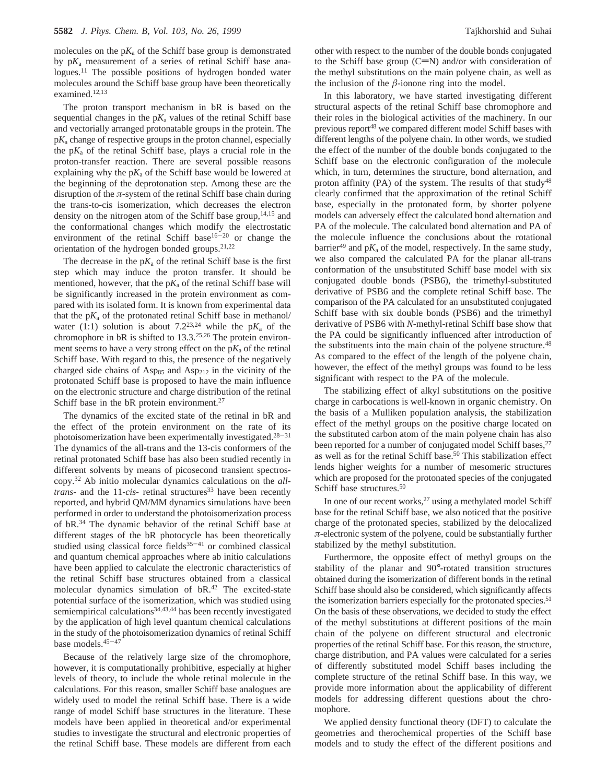molecules on the  $pK_a$  of the Schiff base group is demonstrated by  $pK_a$  measurement of a series of retinal Schiff base analogues.11 The possible positions of hydrogen bonded water molecules around the Schiff base group have been theoretically examined.12,13

The proton transport mechanism in bR is based on the sequential changes in the  $pK_a$  values of the retinal Schiff base and vectorially arranged protonatable groups in the protein. The p*K*<sup>a</sup> change of respective groups in the proton channel, especially the  $pK_a$  of the retinal Schiff base, plays a crucial role in the proton-transfer reaction. There are several possible reasons explaining why the  $pK_a$  of the Schiff base would be lowered at the beginning of the deprotonation step. Among these are the disruption of the  $\pi$ -system of the retinal Schiff base chain during the trans-to-cis isomerization, which decreases the electron density on the nitrogen atom of the Schiff base group,  $14,15$  and the conformational changes which modify the electrostatic environment of the retinal Schiff base<sup>16-20</sup> or change the orientation of the hydrogen bonded groups.21,22

The decrease in the  $pK_a$  of the retinal Schiff base is the first step which may induce the proton transfer. It should be mentioned, however, that the  $pK_a$  of the retinal Schiff base will be significantly increased in the protein environment as compared with its isolated form. It is known from experimental data that the  $pK_a$  of the protonated retinal Schiff base in methanol/ water (1:1) solution is about  $7.2^{23,24}$  while the p $K_a$  of the chromophore in bR is shifted to 13.3.<sup>25,26</sup> The protein environment seems to have a very strong effect on the  $pK_a$  of the retinal Schiff base. With regard to this, the presence of the negatively charged side chains of Asp $_{85}$  and Asp $_{212}$  in the vicinity of the protonated Schiff base is proposed to have the main influence on the electronic structure and charge distribution of the retinal Schiff base in the bR protein environment.<sup>27</sup>

The dynamics of the excited state of the retinal in bR and the effect of the protein environment on the rate of its photoisomerization have been experimentally investigated.<sup>28-31</sup> The dynamics of the all-trans and the 13-cis conformers of the retinal protonated Schiff base has also been studied recently in different solvents by means of picosecond transient spectroscopy.32 Ab initio molecular dynamics calculations on the *all* $trans-$  and the  $11-cis-$  retinal structures<sup>33</sup> have been recently reported, and hybrid QM/MM dynamics simulations have been performed in order to understand the photoisomerization process of bR.34 The dynamic behavior of the retinal Schiff base at different stages of the bR photocycle has been theoretically studied using classical force fields $35-41$  or combined classical and quantum chemical approaches where ab initio calculations have been applied to calculate the electronic characteristics of the retinal Schiff base structures obtained from a classical molecular dynamics simulation of bR.42 The excited-state potential surface of the isomerization, which was studied using semiempirical calculations<sup>34,43,44</sup> has been recently investigated by the application of high level quantum chemical calculations in the study of the photoisomerization dynamics of retinal Schiff base models.45-<sup>47</sup>

Because of the relatively large size of the chromophore, however, it is computationally prohibitive, especially at higher levels of theory, to include the whole retinal molecule in the calculations. For this reason, smaller Schiff base analogues are widely used to model the retinal Schiff base. There is a wide range of model Schiff base structures in the literature. These models have been applied in theoretical and/or experimental studies to investigate the structural and electronic properties of the retinal Schiff base. These models are different from each

other with respect to the number of the double bonds conjugated to the Schiff base group  $(C=N)$  and/or with consideration of the methyl substitutions on the main polyene chain, as well as the inclusion of the  $\beta$ -ionone ring into the model.

In this laboratory, we have started investigating different structural aspects of the retinal Schiff base chromophore and their roles in the biological activities of the machinery. In our previous report<sup>48</sup> we compared different model Schiff bases with different lengths of the polyene chain. In other words, we studied the effect of the number of the double bonds conjugated to the Schiff base on the electronic configuration of the molecule which, in turn, determines the structure, bond alternation, and proton affinity (PA) of the system. The results of that study<sup>48</sup> clearly confirmed that the approximation of the retinal Schiff base, especially in the protonated form, by shorter polyene models can adversely effect the calculated bond alternation and PA of the molecule. The calculated bond alternation and PA of the molecule influence the conclusions about the rotational barrier<sup>49</sup> and  $pK_a$  of the model, respectively. In the same study, we also compared the calculated PA for the planar all-trans conformation of the unsubstituted Schiff base model with six conjugated double bonds (PSB6), the trimethyl-substituted derivative of PSB6 and the complete retinal Schiff base. The comparison of the PA calculated for an unsubstituted conjugated Schiff base with six double bonds (PSB6) and the trimethyl derivative of PSB6 with *N*-methyl-retinal Schiff base show that the PA could be significantly influenced after introduction of the substituents into the main chain of the polyene structure.<sup>48</sup> As compared to the effect of the length of the polyene chain, however, the effect of the methyl groups was found to be less significant with respect to the PA of the molecule.

The stabilizing effect of alkyl substitutions on the positive charge in carbocations is well-known in organic chemistry. On the basis of a Mulliken population analysis, the stabilization effect of the methyl groups on the positive charge located on the substituted carbon atom of the main polyene chain has also been reported for a number of conjugated model Schiff bases,<sup>27</sup> as well as for the retinal Schiff base.<sup>50</sup> This stabilization effect lends higher weights for a number of mesomeric structures which are proposed for the protonated species of the conjugated Schiff base structures.<sup>50</sup>

In one of our recent works,<sup>27</sup> using a methylated model Schiff base for the retinal Schiff base, we also noticed that the positive charge of the protonated species, stabilized by the delocalized *π*-electronic system of the polyene, could be substantially further stabilized by the methyl substitution.

Furthermore, the opposite effect of methyl groups on the stability of the planar and 90°-rotated transition structures obtained during the isomerization of different bonds in the retinal Schiff base should also be considered, which significantly affects the isomerization barriers especially for the protonated species.<sup>51</sup> On the basis of these observations, we decided to study the effect of the methyl substitutions at different positions of the main chain of the polyene on different structural and electronic properties of the retinal Schiff base. For this reason, the structure, charge distribution, and PA values were calculated for a series of differently substituted model Schiff bases including the complete structure of the retinal Schiff base. In this way, we provide more information about the applicability of different models for addressing different questions about the chromophore.

We applied density functional theory (DFT) to calculate the geometries and therochemical properties of the Schiff base models and to study the effect of the different positions and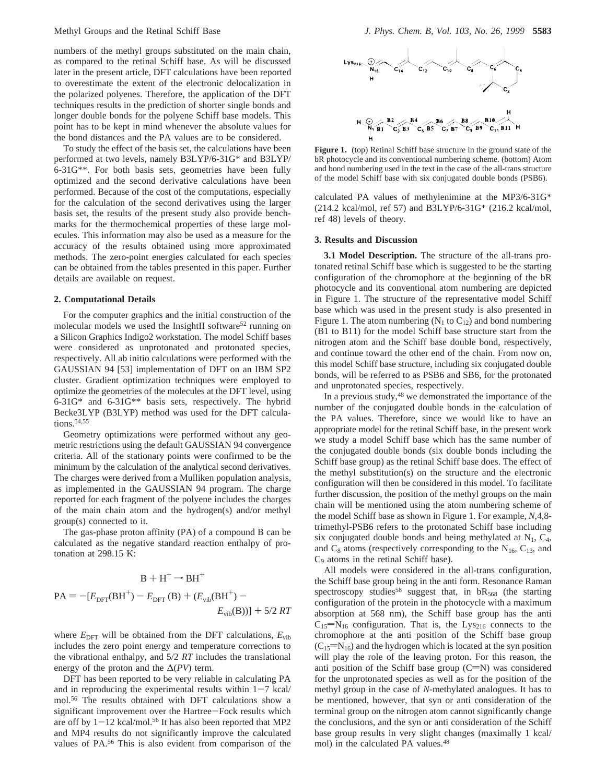numbers of the methyl groups substituted on the main chain, as compared to the retinal Schiff base. As will be discussed later in the present article, DFT calculations have been reported to overestimate the extent of the electronic delocalization in the polarized polyenes. Therefore, the application of the DFT techniques results in the prediction of shorter single bonds and longer double bonds for the polyene Schiff base models. This point has to be kept in mind whenever the absolute values for the bond distances and the PA values are to be considered.

To study the effect of the basis set, the calculations have been performed at two levels, namely B3LYP/6-31G\* and B3LYP/ 6-31G\*\*. For both basis sets, geometries have been fully optimized and the second derivative calculations have been performed. Because of the cost of the computations, especially for the calculation of the second derivatives using the larger basis set, the results of the present study also provide benchmarks for the thermochemical properties of these large molecules. This information may also be used as a measure for the accuracy of the results obtained using more approximated methods. The zero-point energies calculated for each species can be obtained from the tables presented in this paper. Further details are available on request.

#### **2. Computational Details**

For the computer graphics and the initial construction of the molecular models we used the InsightII software<sup>52</sup> running on a Silicon Graphics Indigo2 workstation. The model Schiff bases were considered as unprotonated and protonated species, respectively. All ab initio calculations were performed with the GAUSSIAN 94 [53] implementation of DFT on an IBM SP2 cluster. Gradient optimization techniques were employed to optimize the geometries of the molecules at the DFT level, using 6-31G\* and 6-31G\*\* basis sets, respectively. The hybrid Becke3LYP (B3LYP) method was used for the DFT calcula $tions.<sup>54,55</sup>$ 

Geometry optimizations were performed without any geometric restrictions using the default GAUSSIAN 94 convergence criteria. All of the stationary points were confirmed to be the minimum by the calculation of the analytical second derivatives. The charges were derived from a Mulliken population analysis, as implemented in the GAUSSIAN 94 program. The charge reported for each fragment of the polyene includes the charges of the main chain atom and the hydrogen(s) and/or methyl group(s) connected to it.

The gas-phase proton affinity (PA) of a compound B can be calculated as the negative standard reaction enthalpy of protonation at 298.15 K:

$$
B + H^{+} \rightarrow BH^{+}
$$
  
PA = -[ $E_{DFT}(BH^{+}) - E_{DFT}(B) + (E_{vib}(BH^{+}) - E_{vib}(B))] + 5/2 RT$ 

where  $E_{\text{DFT}}$  will be obtained from the DFT calculations,  $E_{\text{vib}}$ includes the zero point energy and temperature corrections to the vibrational enthalpy, and 5/2 *RT* includes the translational energy of the proton and the  $\Delta(PV)$  term.

DFT has been reported to be very reliable in calculating PA and in reproducing the experimental results within  $1-7$  kcal/ mol.56 The results obtained with DFT calculations show a significant improvement over the Hartree-Fock results which are off by  $1-\overline{12}$  kcal/mol.<sup>56</sup> It has also been reported that MP2 and MP4 results do not significantly improve the calculated values of PA.56 This is also evident from comparison of the



**Figure 1.** (top) Retinal Schiff base structure in the ground state of the bR photocycle and its conventional numbering scheme. (bottom) Atom and bond numbering used in the text in the case of the all-trans structure of the model Schiff base with six conjugated double bonds (PSB6).

calculated PA values of methylenimine at the MP3/6-31G\* (214.2 kcal/mol, ref 57) and B3LYP/6-31G\* (216.2 kcal/mol, ref 48) levels of theory.

## **3. Results and Discussion**

**3.1 Model Description.** The structure of the all-trans protonated retinal Schiff base which is suggested to be the starting configuration of the chromophore at the beginning of the bR photocycle and its conventional atom numbering are depicted in Figure 1. The structure of the representative model Schiff base which was used in the present study is also presented in Figure 1. The atom numbering  $(N_1$  to  $C_{12}$ ) and bond numbering (B1 to B11) for the model Schiff base structure start from the nitrogen atom and the Schiff base double bond, respectively, and continue toward the other end of the chain. From now on, this model Schiff base structure, including six conjugated double bonds, will be referred to as PSB6 and SB6, for the protonated and unprotonated species, respectively.

In a previous study,48 we demonstrated the importance of the number of the conjugated double bonds in the calculation of the PA values. Therefore, since we would like to have an appropriate model for the retinal Schiff base, in the present work we study a model Schiff base which has the same number of the conjugated double bonds (six double bonds including the Schiff base group) as the retinal Schiff base does. The effect of the methyl substitution(s) on the structure and the electronic configuration will then be considered in this model. To facilitate further discussion, the position of the methyl groups on the main chain will be mentioned using the atom numbering scheme of the model Schiff base as shown in Figure 1. For example, *N*,4,8 trimethyl-PSB6 refers to the protonated Schiff base including six conjugated double bonds and being methylated at  $N_1$ ,  $C_4$ , and  $C_8$  atoms (respectively corresponding to the  $N_{16}$ ,  $C_{13}$ , and C9 atoms in the retinal Schiff base).

All models were considered in the all-trans configuration, the Schiff base group being in the anti form. Resonance Raman spectroscopy studies<sup>58</sup> suggest that, in  $bR_{568}$  (the starting configuration of the protein in the photocycle with a maximum absorption at 568 nm), the Schiff base group has the anti  $C_{15}=N_{16}$  configuration. That is, the Lys<sub>216</sub> connects to the chromophore at the anti position of the Schiff base group  $(C_{15}=N_{16})$  and the hydrogen which is located at the syn position will play the role of the leaving proton. For this reason, the anti position of the Schiff base group  $(C=N)$  was considered for the unprotonated species as well as for the position of the methyl group in the case of *N*-methylated analogues. It has to be mentioned, however, that syn or anti consideration of the terminal group on the nitrogen atom cannot significantly change the conclusions, and the syn or anti consideration of the Schiff base group results in very slight changes (maximally 1 kcal/ mol) in the calculated PA values.<sup>48</sup>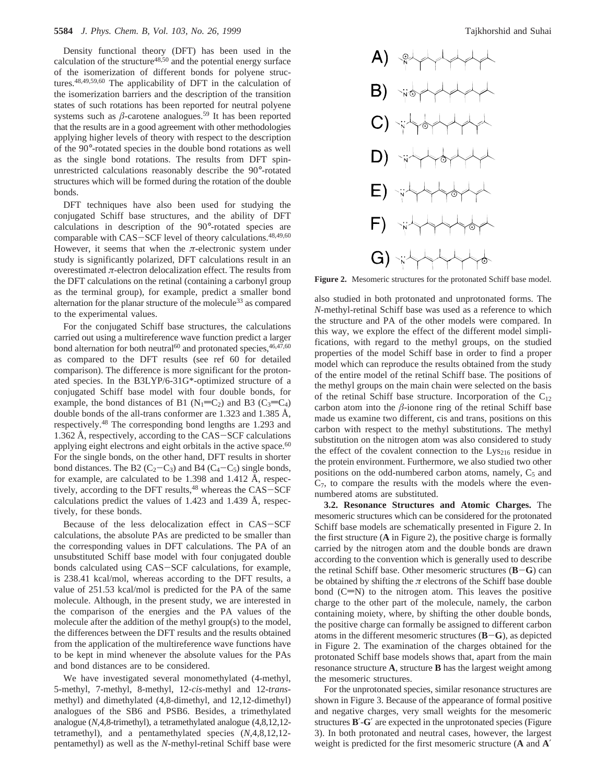Density functional theory (DFT) has been used in the calculation of the structure $48,50$  and the potential energy surface of the isomerization of different bonds for polyene structures.48,49,59,60 The applicability of DFT in the calculation of the isomerization barriers and the description of the transition states of such rotations has been reported for neutral polyene systems such as  $\beta$ -carotene analogues.<sup>59</sup> It has been reported that the results are in a good agreement with other methodologies applying higher levels of theory with respect to the description of the 90°-rotated species in the double bond rotations as well as the single bond rotations. The results from DFT spinunrestricted calculations reasonably describe the 90°-rotated structures which will be formed during the rotation of the double bonds.

DFT techniques have also been used for studying the conjugated Schiff base structures, and the ability of DFT calculations in description of the 90°-rotated species are comparable with  $CAS-SCF$  level of theory calculations.  $48,49,60$ However, it seems that when the  $\pi$ -electronic system under study is significantly polarized, DFT calculations result in an overestimated *π*-electron delocalization effect. The results from the DFT calculations on the retinal (containing a carbonyl group as the terminal group), for example, predict a smaller bond alternation for the planar structure of the molecule<sup>33</sup> as compared to the experimental values.

For the conjugated Schiff base structures, the calculations carried out using a multireference wave function predict a larger bond alternation for both neutral $^{60}$  and protonated species,  $^{46,47,60}$ as compared to the DFT results (see ref 60 for detailed comparison). The difference is more significant for the protonated species. In the B3LYP/6-31G\*-optimized structure of a conjugated Schiff base model with four double bonds, for example, the bond distances of B1 ( $N_1 = C_2$ ) and B3 ( $C_3 = C_4$ ) double bonds of the all-trans conformer are 1.323 and 1.385 Å, respectively.48 The corresponding bond lengths are 1.293 and 1.362 Å, respectively, according to the CAS-SCF calculations applying eight electrons and eight orbitals in the active space. $60$ For the single bonds, on the other hand, DFT results in shorter bond distances. The B2 ( $C_2 - C_3$ ) and B4 ( $C_4 - C_5$ ) single bonds, for example, are calculated to be 1.398 and 1.412 Å, respectively, according to the DFT results,<sup>48</sup> whereas the CAS-SCF calculations predict the values of 1.423 and 1.439 Å, respectively, for these bonds.

Because of the less delocalization effect in CAS-SCF calculations, the absolute PAs are predicted to be smaller than the corresponding values in DFT calculations. The PA of an unsubstituted Schiff base model with four conjugated double bonds calculated using CAS-SCF calculations, for example, is 238.41 kcal/mol, whereas according to the DFT results, a value of 251.53 kcal/mol is predicted for the PA of the same molecule. Although, in the present study, we are interested in the comparison of the energies and the PA values of the molecule after the addition of the methyl group(s) to the model, the differences between the DFT results and the results obtained from the application of the multireference wave functions have to be kept in mind whenever the absolute values for the PAs and bond distances are to be considered.

We have investigated several monomethylated (4-methyl, 5-methyl, 7-methyl, 8-methyl, 12-*cis*-methyl and 12-*trans*methyl) and dimethylated (4,8-dimethyl, and 12,12-dimethyl) analogues of the SB6 and PSB6. Besides, a trimethylated analogue (*N*,4,8-trimethyl), a tetramethylated analogue (4,8,12,12 tetramethyl), and a pentamethylated species (*N*,4,8,12,12 pentamethyl) as well as the *N*-methyl-retinal Schiff base were



**Figure 2.** Mesomeric structures for the protonated Schiff base model.

also studied in both protonated and unprotonated forms. The *N*-methyl-retinal Schiff base was used as a reference to which the structure and PA of the other models were compared. In this way, we explore the effect of the different model simplifications, with regard to the methyl groups, on the studied properties of the model Schiff base in order to find a proper model which can reproduce the results obtained from the study of the entire model of the retinal Schiff base. The positions of the methyl groups on the main chain were selected on the basis of the retinal Schiff base structure. Incorporation of the  $C_{12}$ carbon atom into the  $\beta$ -ionone ring of the retinal Schiff base made us examine two different, cis and trans, positions on this carbon with respect to the methyl substitutions. The methyl substitution on the nitrogen atom was also considered to study the effect of the covalent connection to the  $Lys_{216}$  residue in the protein environment. Furthermore, we also studied two other positions on the odd-numbered carbon atoms, namely,  $C_5$  and  $C_7$ , to compare the results with the models where the evennumbered atoms are substituted.

**3.2. Resonance Structures and Atomic Charges.** The mesomeric structures which can be considered for the protonated Schiff base models are schematically presented in Figure 2. In the first structure (**A** in Figure 2), the positive charge is formally carried by the nitrogen atom and the double bonds are drawn according to the convention which is generally used to describe the retinal Schiff base. Other mesomeric structures (**B**-**G**) can be obtained by shifting the  $\pi$  electrons of the Schiff base double bond  $(C=N)$  to the nitrogen atom. This leaves the positive charge to the other part of the molecule, namely, the carbon containing moiety, where, by shifting the other double bonds, the positive charge can formally be assigned to different carbon atoms in the different mesomeric structures (**B**-**G**), as depicted in Figure 2. The examination of the charges obtained for the protonated Schiff base models shows that, apart from the main resonance structure **A**, structure **B** has the largest weight among the mesomeric structures.

For the unprotonated species, similar resonance structures are shown in Figure 3. Because of the appearance of formal positive and negative charges, very small weights for the mesomeric structures **B**′-**G**′ are expected in the unprotonated species (Figure 3). In both protonated and neutral cases, however, the largest weight is predicted for the first mesomeric structure (**A** and **A**′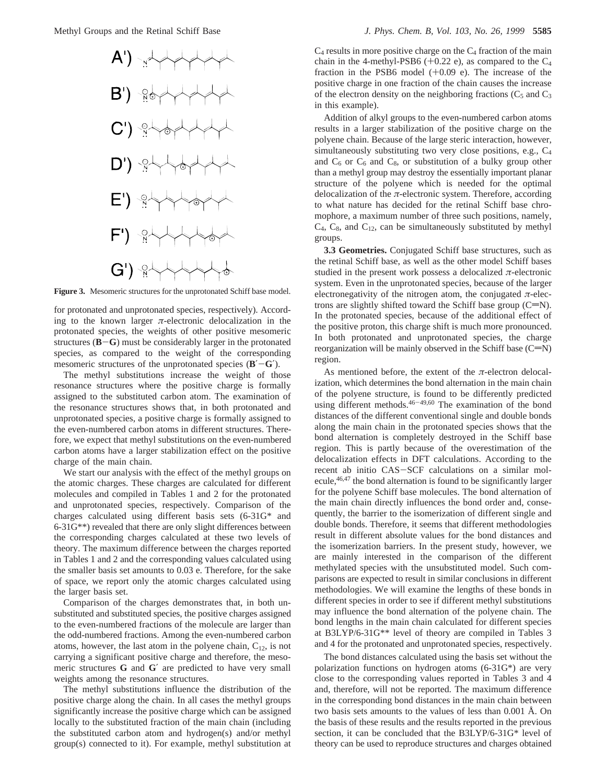

**Figure 3.** Mesomeric structures for the unprotonated Schiff base model.

for protonated and unprotonated species, respectively). According to the known larger  $\pi$ -electronic delocalization in the protonated species, the weights of other positive mesomeric structures  $(B-G)$  must be considerably larger in the protonated species, as compared to the weight of the corresponding mesomeric structures of the unprotonated species (**B**′-**G**′).

The methyl substitutions increase the weight of those resonance structures where the positive charge is formally assigned to the substituted carbon atom. The examination of the resonance structures shows that, in both protonated and unprotonated species, a positive charge is formally assigned to the even-numbered carbon atoms in different structures. Therefore, we expect that methyl substitutions on the even-numbered carbon atoms have a larger stabilization effect on the positive charge of the main chain.

We start our analysis with the effect of the methyl groups on the atomic charges. These charges are calculated for different molecules and compiled in Tables 1 and 2 for the protonated and unprotonated species, respectively. Comparison of the charges calculated using different basis sets (6-31G\* and 6-31G\*\*) revealed that there are only slight differences between the corresponding charges calculated at these two levels of theory. The maximum difference between the charges reported in Tables 1 and 2 and the corresponding values calculated using the smaller basis set amounts to 0.03 e. Therefore, for the sake of space, we report only the atomic charges calculated using the larger basis set.

Comparison of the charges demonstrates that, in both unsubstituted and substituted species, the positive charges assigned to the even-numbered fractions of the molecule are larger than the odd-numbered fractions. Among the even-numbered carbon atoms, however, the last atom in the polyene chain,  $C_{12}$ , is not carrying a significant positive charge and therefore, the mesomeric structures **G** and **G**′ are predicted to have very small weights among the resonance structures.

The methyl substitutions influence the distribution of the positive charge along the chain. In all cases the methyl groups significantly increase the positive charge which can be assigned locally to the substituted fraction of the main chain (including the substituted carbon atom and hydrogen(s) and/or methyl group(s) connected to it). For example, methyl substitution at

 $C_4$  results in more positive charge on the  $C_4$  fraction of the main chain in the 4-methyl-PSB6 (+0.22 e), as compared to the  $C_4$ fraction in the PSB6 model  $(+0.09 e)$ . The increase of the positive charge in one fraction of the chain causes the increase of the electron density on the neighboring fractions  $(C_5$  and  $C_3$ in this example).

Addition of alkyl groups to the even-numbered carbon atoms results in a larger stabilization of the positive charge on the polyene chain. Because of the large steric interaction, however, simultaneously substituting two very close positions, e.g., C<sub>4</sub> and  $C_6$  or  $C_6$  and  $C_8$ , or substitution of a bulky group other than a methyl group may destroy the essentially important planar structure of the polyene which is needed for the optimal delocalization of the *π*-electronic system. Therefore, according to what nature has decided for the retinal Schiff base chromophore, a maximum number of three such positions, namely,  $C_4$ ,  $C_8$ , and  $C_{12}$ , can be simultaneously substituted by methyl groups.

**3.3 Geometries.** Conjugated Schiff base structures, such as the retinal Schiff base, as well as the other model Schiff bases studied in the present work possess a delocalized *π*-electronic system. Even in the unprotonated species, because of the larger electronegativity of the nitrogen atom, the conjugated  $\pi$ -electrons are slightly shifted toward the Schiff base group  $(C=N)$ . In the protonated species, because of the additional effect of the positive proton, this charge shift is much more pronounced. In both protonated and unprotonated species, the charge reorganization will be mainly observed in the Schiff base  $(C=N)$ region.

As mentioned before, the extent of the *π*-electron delocalization, which determines the bond alternation in the main chain of the polyene structure, is found to be differently predicted using different methods. $46-49,60$  The examination of the bond distances of the different conventional single and double bonds along the main chain in the protonated species shows that the bond alternation is completely destroyed in the Schiff base region. This is partly because of the overestimation of the delocalization effects in DFT calculations. According to the recent ab initio CAS-SCF calculations on a similar molecule,46,47 the bond alternation is found to be significantly larger for the polyene Schiff base molecules. The bond alternation of the main chain directly influences the bond order and, consequently, the barrier to the isomerization of different single and double bonds. Therefore, it seems that different methodologies result in different absolute values for the bond distances and the isomerization barriers. In the present study, however, we are mainly interested in the comparison of the different methylated species with the unsubstituted model. Such comparisons are expected to result in similar conclusions in different methodologies. We will examine the lengths of these bonds in different species in order to see if different methyl substitutions may influence the bond alternation of the polyene chain. The bond lengths in the main chain calculated for different species at B3LYP/6-31G\*\* level of theory are compiled in Tables 3 and 4 for the protonated and unprotonated species, respectively.

The bond distances calculated using the basis set without the polarization functions on hydrogen atoms (6-31G\*) are very close to the corresponding values reported in Tables 3 and 4 and, therefore, will not be reported. The maximum difference in the corresponding bond distances in the main chain between two basis sets amounts to the values of less than 0.001 Å. On the basis of these results and the results reported in the previous section, it can be concluded that the B3LYP/6-31G\* level of theory can be used to reproduce structures and charges obtained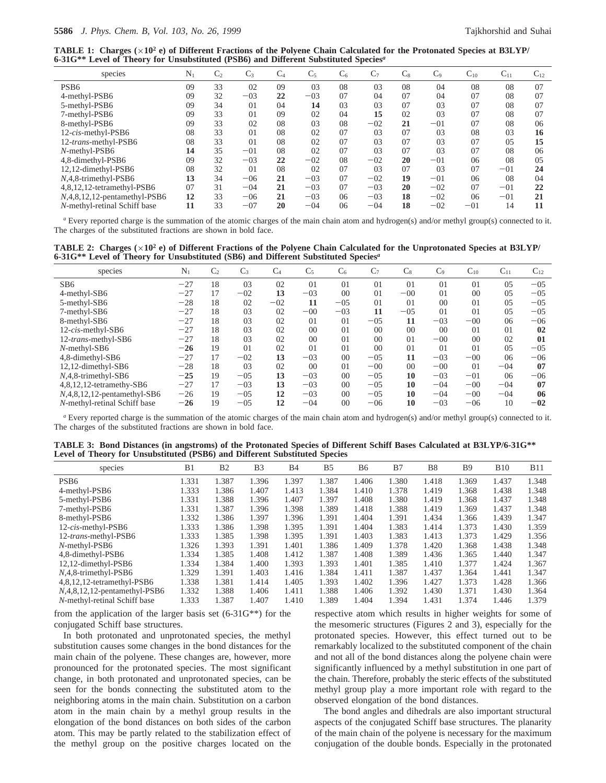**TABLE 1: Charges (**×**102 e) of Different Fractions of the Polyene Chain Calculated for the Protonated Species at B3LYP/ 6-31G\*\* Level of Theory for Unsubstituted (PSB6) and Different Substituted Species***<sup>a</sup>*

| species                      | $N_1$ | C <sub>2</sub> | $C_3$          | $C_4$ | $C_5$          | C <sub>6</sub> | $C_7$ | $C_8$ | $C_9$          | $C_{10}$ | $C_{11}$ | $C_{12}$ |
|------------------------------|-------|----------------|----------------|-------|----------------|----------------|-------|-------|----------------|----------|----------|----------|
| PSB <sub>6</sub>             | 09    | 33             | 02             | 09    | 03             | 08             | 03    | 08    | 04             | 08       | 08       | 07       |
| 4-methyl-PSB6                | 09    | 32             | $-03$          | 22    | $-03$          | 07             | 04    | 07    | 04             | 07       | 08       | 07       |
| 5-methyl-PSB6                | 09    | 34             | 01             | 04    | 14             | 03             | 03    | 07    | 03             | 07       | 08       | 07       |
| 7-methyl-PSB6                | 09    | 33             | 01             | 09    | 02             | 04             | 15    | 02    | 03             | 07       | 08       | 07       |
| 8-methyl-PSB6                | 09    | 33             | 02             | 08    | 0 <sub>3</sub> | 08             | $-02$ | 21    | $-01$          | 07       | 08       | 06       |
| 12-cis-methyl-PSB6           | 08    | 33             | 01             | 08    | 02             | 07             | 03    | 07    | 03             | 08       | 03       | 16       |
| 12-trans-methyl-PSB6         | 08    | 33             | 0 <sub>1</sub> | 08    | 02             | 07             | 03    | 07    | 03             | 07       | 05       | 15       |
| $N$ -methyl-PSB6             | 14    | 35             | $-01$          | 08    | 02             | 07             | 03    | 07    | 0 <sub>3</sub> | 07       | 08       | 06       |
| 4,8-dimethyl-PSB6            | 09    | 32             | $-03$          | 22    | $-02$          | 08             | $-02$ | 20    | $-01$          | 06       | 08       | 05       |
| 12,12-dimethyl-PSB6          | 08    | 32             | 01             | 08    | 02             | 07             | 03    | 07    | 03             | 07       | $-01$    | 24       |
| $N,4,8$ -trimethyl-PSB6      | 13    | 34             | $-06$          | 21    | $-03$          | 07             | $-02$ | 19    | $-01$          | 06       | 08       | 04       |
| 4,8,12,12-tetramethyl-PSB6   | 07    | 31             | $-04$          | 21    | $-0.3$         | 07             | $-03$ | 20    | $-02$          | 07       | $-01$    | 22       |
| N,4,8,12,12-pentamethyl-PSB6 | 12    | 33             | $-06$          | 21    | $-03$          | 06             | $-03$ | 18    | $-02$          | 06       | $-01$    | 21       |
| N-methyl-retinal Schiff base | 11    | 33             | $-07$          | 20    | $-04$          | 06             | $-04$ | 18    | $-02$          | $-01$    | 14       | 11       |
|                              |       |                |                |       |                |                |       |       |                |          |          |          |

*<sup>a</sup>* Every reported charge is the summation of the atomic charges of the main chain atom and hydrogen(s) and/or methyl group(s) connected to it. The charges of the substituted fractions are shown in bold face.

**TABLE 2: Charges (**×**102 e) of Different Fractions of the Polyene Chain Calculated for the Unprotonated Species at B3LYP/ 6-31G\*\* Level of Theory for Unsubstituted (SB6) and Different Substituted Species***<sup>a</sup>*

| species                      | $N_1$ | C <sub>2</sub> | $C_3$          | $C_4$ | $C_5$          | C <sub>6</sub> | $C_7$          | $C_8$          | C <sub>9</sub> | $C_{10}$       | $C_{11}$ | $C_{12}$ |
|------------------------------|-------|----------------|----------------|-------|----------------|----------------|----------------|----------------|----------------|----------------|----------|----------|
| S <sub>B6</sub>              | $-27$ | 18             | 03             | 02    | 01             | 01             | 0 <sub>1</sub> | 0 <sub>1</sub> | 01             | 01             | 05       | $-05$    |
| 4-methyl-SB6                 | $-27$ | 17             | $-02$          | 13    | $-03$          | 0 <sup>0</sup> | 01             | $-00$          | 01             | 0 <sup>0</sup> | 05       | $-05$    |
| 5-methyl-SB6                 | $-28$ | 18             | 02             | $-02$ | 11             | $-05$          | 01             | 0 <sub>1</sub> | 0 <sup>0</sup> | 01             | 05       | $-05$    |
| 7-methyl-SB6                 | $-27$ | 18             | 03             | 02    | $-00$          | $-03$          | 11             | $-05$          | 01             | 01             | 05       | $-05$    |
| 8-methyl-SB6                 | $-27$ | 18             | 03             | 02    | 01             | 01             | $-05$          | 11             | $-03$          | $-00$          | 06       | $-06$    |
| 12-cis-methyl-SB6            | $-27$ | 18             | 03             | 02    | 0 <sup>0</sup> | 01             | 0 <sup>0</sup> | 00             | 0 <sup>0</sup> | 01             | 01       | 02       |
| 12-trans-methyl-SB6          | $-27$ | 18             | 03             | 02    | 00             | 01             | 00             | 01             | $-00$          | 00             | 02       | 01       |
| $N$ -methyl-SB6              | $-26$ | 19             | 0 <sub>1</sub> | 02    | 01             | 01             | 0 <sup>0</sup> | 0 <sub>1</sub> | 01             | 01             | 05       | $-05$    |
| 4,8-dimethyl-SB6             | $-27$ | 17             | $-02$          | 13    | $-03$          | 00             | $-05$          | 11             | $-03$          | $-00$          | 06       | $-06$    |
| 12,12-dimethyl-SB6           | $-28$ | 18             | 0 <sub>3</sub> | 02    | 0 <sup>0</sup> | 01             | $-00$          | 00             | $-00$          | 0 <sub>1</sub> | $-04$    | 07       |
| $N,4,8$ -trimethyl-SB6       | $-25$ | 19             | $-05$          | 13    | $-03$          | $00\,$         | $-05$          | 10             | $-03$          | $-01$          | 06       | $-06$    |
| 4,8,12,12-tetramethy-SB6     | $-27$ | 17             | $-03$          | 13    | $-03$          | 00             | $-05$          | 10             | $-04$          | $-00$          | $-04$    | 07       |
| N,4,8,12,12-pentamethyl-SB6  | $-26$ | 19             | $-05$          | 12    | $-03$          | 00             | $-05$          | 10             | $-04$          | $-00$          | $-04$    | 06       |
| N-methyl-retinal Schiff base | $-26$ | 19             | $-05$          | 12    | $-04$          | 00             | $-06$          | 10             | $-03$          | $-06$          | 10       | $-02$    |
|                              |       |                |                |       |                |                |                |                |                |                |          |          |

*<sup>a</sup>* Every reported charge is the summation of the atomic charges of the main chain atom and hydrogen(s) and/or methyl group(s) connected to it. The charges of the substituted fractions are shown in bold face.

|                                 |       | $\sim$ $\sim$  |                |            |                |           |       |       |                |             |            |
|---------------------------------|-------|----------------|----------------|------------|----------------|-----------|-------|-------|----------------|-------------|------------|
| species                         | B1    | B <sub>2</sub> | B <sub>3</sub> | <b>B</b> 4 | B <sub>5</sub> | <b>B6</b> | B7    | B8    | B <sub>9</sub> | <b>B</b> 10 | <b>B11</b> |
| PSB <sub>6</sub>                | 1.331 | 1.387          | 1.396          | 1.397      | 1.387          | l.406     | 1.380 | 1.418 | 1.369          | .437        | 1.348      |
| 4-methyl-PSB6                   | 1.333 | 1.386          | 1.407          | 1.413      | 1.384          | 1.410     | 1.378 | 1.419 | 1.368          | 1.438       | 1.348      |
| 5-methyl-PSB6                   | 1.331 | 1.388          | 1.396          | 1.407      | 1.397          | 1.408     | 1.380 | 1.419 | 1.368          | 1.437       | 1.348      |
| 7-methyl-PSB6                   | 1.331 | 1.387          | 1.396          | 1.398      | 1.389          | 1.418     | 1.388 | 1.419 | 1.369          | 1.437       | 1.348      |
| 8-methyl-PSB6                   | 1.332 | 1.386          | 1.397          | 1.396      | 1.391          | 1.404     | 1.391 | 1.434 | 1.366          | 1.439       | 1.347      |
| 12-cis-methyl-PSB6              | 1.333 | 1.386          | 1.398          | 1.395      | 1.391          | 1.404     | 1.383 | 1.414 | 1.373          | 1.430       | 1.359      |
| 12- <i>trans</i> -methyl-PSB6   | 1.333 | 1.385          | 1.398          | 1.395      | 1.391          | 1.403     | 1.383 | 1.413 | 1.373          | 1.429       | 1.356      |
| $N$ -methyl-PSB6                | 1.326 | 1.393          | 1.391          | 1.401      | 1.386          | 1.409     | 1.378 | 1.420 | 1.368          | 1.438       | 1.348      |
| 4,8-dimethyl-PSB6               | 1.334 | 1.385          | 1.408          | 1.412      | 1.387          | 1.408     | 1.389 | 1.436 | 1.365          | 1.440       | 1.347      |
| 12,12-dimethyl-PSB6             | 1.334 | 1.384          | 1.400          | 1.393      | 1.393          | 1.401     | 1.385 | 1.410 | 1.377          | 1.424       | 1.367      |
| $N,4,8$ -trimethyl-PSB6         | 1.329 | 1.391          | 1.403          | 1.416      | 1.384          | 1.411     | 1.387 | 1.437 | 1.364          | 1.441       | 1.347      |
| 4,8,12,12-tetramethyl-PSB6      | 1.338 | 1.381          | 1.414          | 1.405      | 1.393          | 1.402     | 1.396 | 1.427 | 1.373          | 1.428       | 1.366      |
| $N,4,8,12,12$ -pentamethyl-PSB6 | 1.332 | 1.388          | 1.406          | 1.411      | 1.388          | 1.406     | 1.392 | 1.430 | 1.371          | 1.430       | 1.364      |
| N-methyl-retinal Schiff base    | 1.333 | 1.387          | 1.407          | 1.410      | 1.389          | 1.404     | 1.394 | 1.431 | 1.374          | l.446       | 1.379      |

**TABLE 3: Bond Distances (in angstroms) of the Protonated Species of Different Schiff Bases Calculated at B3LYP/6-31G\*\* Level of Theory for Unsubstituted (PSB6) and Different Substituted Species**

from the application of the larger basis set (6-31G\*\*) for the conjugated Schiff base structures.

In both protonated and unprotonated species, the methyl substitution causes some changes in the bond distances for the main chain of the polyene. These changes are, however, more pronounced for the protonated species. The most significant change, in both protonated and unprotonated species, can be seen for the bonds connecting the substituted atom to the neighboring atoms in the main chain. Substitution on a carbon atom in the main chain by a methyl group results in the elongation of the bond distances on both sides of the carbon atom. This may be partly related to the stabilization effect of the methyl group on the positive charges located on the

respective atom which results in higher weights for some of the mesomeric structures (Figures 2 and 3), especially for the protonated species. However, this effect turned out to be remarkably localized to the substituted component of the chain and not all of the bond distances along the polyene chain were significantly influenced by a methyl substitution in one part of the chain. Therefore, probably the steric effects of the substituted methyl group play a more important role with regard to the observed elongation of the bond distances.

The bond angles and dihedrals are also important structural aspects of the conjugated Schiff base structures. The planarity of the main chain of the polyene is necessary for the maximum conjugation of the double bonds. Especially in the protonated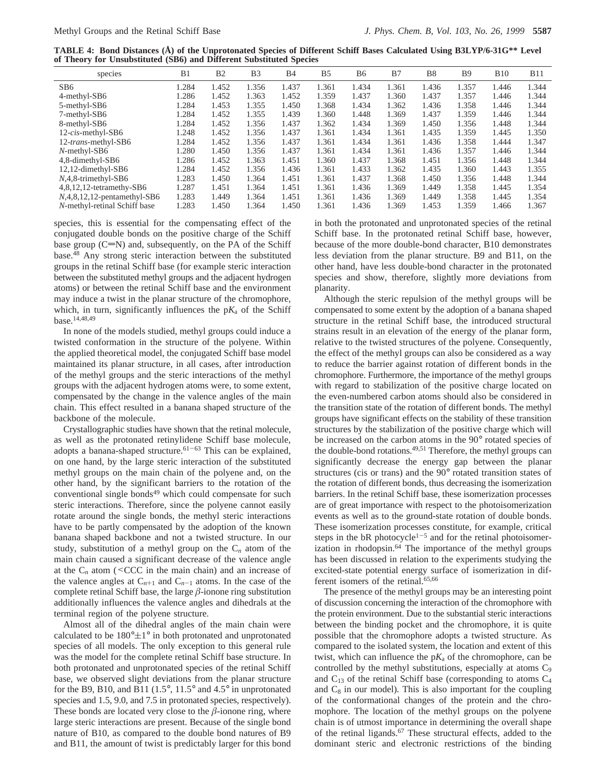**TABLE 4: Bond Distances (Å) of the Unprotonated Species of Different Schiff Bases Calculated Using B3LYP/6-31G\*\* Level of Theory for Unsubstituted (SB6) and Different Substituted Species**

| species                      | B1    | B <sub>2</sub> | B <sub>3</sub> | <b>B</b> 4 | B <sub>5</sub> | B6    | B7    | B <sub>8</sub> | B <sub>9</sub> | <b>B</b> 10 | <b>B11</b> |
|------------------------------|-------|----------------|----------------|------------|----------------|-------|-------|----------------|----------------|-------------|------------|
| SB <sub>6</sub>              | .284  | 1.452          | 1.356          | 1.437      | 1.361          | 1.434 | 1.361 | 1.436          | 1.357          | 1.446       | 1.344      |
| 4-methyl-SB6                 | 1.286 | 1.452          | 1.363          | 1.452      | 1.359          | 1.437 | 1.360 | 1.437          | 1.357          | 1.446       | 1.344      |
| 5-methyl-SB6                 | 1.284 | 1.453          | 1.355          | 1.450      | 1.368          | 1.434 | 1.362 | 1.436          | 1.358          | 1.446       | 1.344      |
| 7-methyl-SB6                 | .284  | 1.452          | 1.355          | 1.439      | 1.360          | 1.448 | 1.369 | 1.437          | 1.359          | 1.446       | 1.344      |
| 8-methyl-SB6                 | 1.284 | 1.452          | 1.356          | 1.437      | 1.362          | 1.434 | 1.369 | 1.450          | 1.356          | 1.448       | 1.344      |
| $12\text{-}cis$ -methyl-SB6  | .248  | 1.452          | 1.356          | 1.437      | 1.361          | 1.434 | 1.361 | 1.435          | 1.359          | 1.445       | 1.350      |
| 12-trans-methyl-SB6          | 1.284 | 1.452          | 1.356          | 1.437      | 1.361          | 1.434 | 1.361 | 1.436          | 1.358          | 1.444       | 1.347      |
| $N$ -methyl-SB6              | 1.280 | 1.450          | 1.356          | 1.437      | 1.361          | 1.434 | 1.361 | 1.436          | 1.357          | 1.446       | 1.344      |
| 4,8-dimethyl-SB6             | .286  | 1.452          | 1.363          | 1.451      | 1.360          | 1.437 | 1.368 | 1.451          | 1.356          | 1.448       | 1.344      |
| 12,12-dimethyl-SB6           | 1.284 | 1.452          | 1.356          | 1.436      | 1.361          | 1.433 | 1.362 | 1.435          | 1.360          | 1.443       | 1.355      |
| $N,4,8$ -trimethyl-SB6       | 1.283 | 1.450          | 1.364          | 1.451      | 1.361          | 1.437 | 1.368 | 1.450          | 1.356          | 1.448       | 1.344      |
| $4,8,12,12$ -tetramethy-SB6  | 1.287 | 1.451          | 1.364          | 1.451      | 1.361          | 1.436 | 1.369 | 1.449          | 1.358          | 1.445       | 1.354      |
| N,4,8,12,12-pentamethyl-SB6  | 1.283 | 1.449          | 1.364          | 1.451      | 1.361          | 1.436 | 1.369 | 1.449          | 1.358          | 1.445       | 1.354      |
| N-methyl-retinal Schiff base | 1.283 | 1.450          | 1.364          | 1.450      | 1.361          | 1.436 | 1.369 | 1.453          | 1.359          | 1.466       | 1.367      |

species, this is essential for the compensating effect of the conjugated double bonds on the positive charge of the Schiff base group  $(C=N)$  and, subsequently, on the PA of the Schiff base.48 Any strong steric interaction between the substituted groups in the retinal Schiff base (for example steric interaction between the substituted methyl groups and the adjacent hydrogen atoms) or between the retinal Schiff base and the environment may induce a twist in the planar structure of the chromophore, which, in turn, significantly influences the  $pK_a$  of the Schiff base.14,48,49

In none of the models studied, methyl groups could induce a twisted conformation in the structure of the polyene. Within the applied theoretical model, the conjugated Schiff base model maintained its planar structure, in all cases, after introduction of the methyl groups and the steric interactions of the methyl groups with the adjacent hydrogen atoms were, to some extent, compensated by the change in the valence angles of the main chain. This effect resulted in a banana shaped structure of the backbone of the molecule.

Crystallographic studies have shown that the retinal molecule, as well as the protonated retinylidene Schiff base molecule, adopts a banana-shaped structure.<sup>61-63</sup> This can be explained, on one hand, by the large steric interaction of the substituted methyl groups on the main chain of the polyene and, on the other hand, by the significant barriers to the rotation of the conventional single bonds<sup>49</sup> which could compensate for such steric interactions. Therefore, since the polyene cannot easily rotate around the single bonds, the methyl steric interactions have to be partly compensated by the adoption of the known banana shaped backbone and not a twisted structure. In our study, substitution of a methyl group on the  $C_n$  atom of the main chain caused a significant decrease of the valence angle at the  $C_n$  atom (<CCC in the main chain) and an increase of the valence angles at  $C_{n+1}$  and  $C_{n-1}$  atoms. In the case of the complete retinal Schiff base, the large  $\beta$ -ionone ring substitution additionally influences the valence angles and dihedrals at the terminal region of the polyene structure.

Almost all of the dihedral angles of the main chain were calculated to be  $180^{\circ} \pm 1^{\circ}$  in both protonated and unprotonated species of all models. The only exception to this general rule was the model for the complete retinal Schiff base structure. In both protonated and unprotonated species of the retinal Schiff base, we observed slight deviations from the planar structure for the B9, B10, and B11 (1.5°, 11.5° and 4.5° in unprotonated species and 1.5, 9.0, and 7.5 in protonated species, respectively). These bonds are located very close to the  $\beta$ -ionone ring, where large steric interactions are present. Because of the single bond nature of B10, as compared to the double bond natures of B9 and B11, the amount of twist is predictably larger for this bond in both the protonated and unprotonated species of the retinal Schiff base. In the protonated retinal Schiff base, however, because of the more double-bond character, B10 demonstrates less deviation from the planar structure. B9 and B11, on the other hand, have less double-bond character in the protonated species and show, therefore, slightly more deviations from planarity.

Although the steric repulsion of the methyl groups will be compensated to some extent by the adoption of a banana shaped structure in the retinal Schiff base, the introduced structural strains result in an elevation of the energy of the planar form, relative to the twisted structures of the polyene. Consequently, the effect of the methyl groups can also be considered as a way to reduce the barrier against rotation of different bonds in the chromophore. Furthermore, the importance of the methyl groups with regard to stabilization of the positive charge located on the even-numbered carbon atoms should also be considered in the transition state of the rotation of different bonds. The methyl groups have significant effects on the stability of these transition structures by the stabilization of the positive charge which will be increased on the carbon atoms in the 90° rotated species of the double-bond rotations.<sup>49,51</sup> Therefore, the methyl groups can significantly decrease the energy gap between the planar structures (cis or trans) and the 90° rotated transition states of the rotation of different bonds, thus decreasing the isomerization barriers. In the retinal Schiff base, these isomerization processes are of great importance with respect to the photoisomerization events as well as to the ground-state rotation of double bonds. These isomerization processes constitute, for example, critical steps in the bR photocycle<sup>1-5</sup> and for the retinal photoisomerization in rhodopsin.64 The importance of the methyl groups has been discussed in relation to the experiments studying the excited-state potential energy surface of isomerization in different isomers of the retinal.<sup>65,66</sup>

The presence of the methyl groups may be an interesting point of discussion concerning the interaction of the chromophore with the protein environment. Due to the substantial steric interactions between the binding pocket and the chromophore, it is quite possible that the chromophore adopts a twisted structure. As compared to the isolated system, the location and extent of this twist, which can influence the  $pK_a$  of the chromophore, can be controlled by the methyl substitutions, especially at atoms C9 and  $C_{13}$  of the retinal Schiff base (corresponding to atoms  $C_4$ and  $C_8$  in our model). This is also important for the coupling of the conformational changes of the protein and the chromophore. The location of the methyl groups on the polyene chain is of utmost importance in determining the overall shape of the retinal ligands.67 These structural effects, added to the dominant steric and electronic restrictions of the binding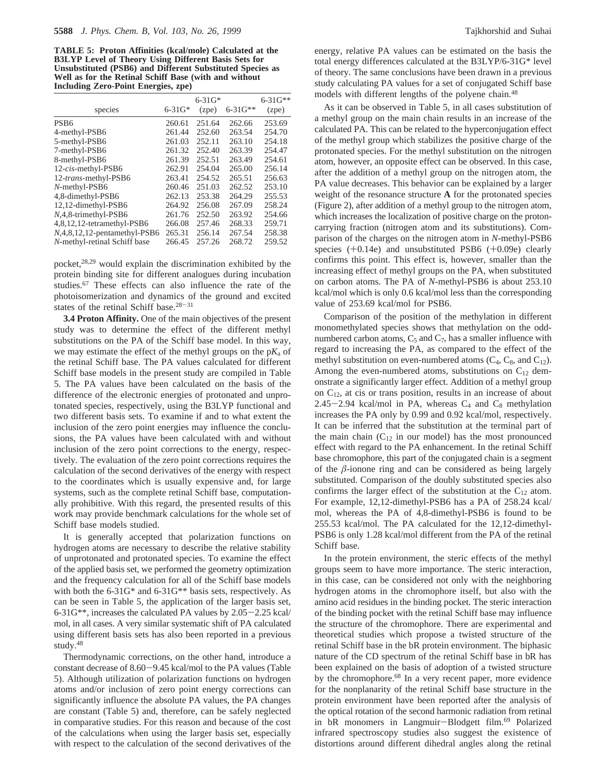**TABLE 5: Proton Affinities (kcal/mole) Calculated at the B3LYP Level of Theory Using Different Basis Sets for Unsubstituted (PSB6) and Different Substituted Species as Well as for the Retinal Schiff Base (with and without Including Zero-Point Energies, zpe)**

|                                 |             | $6 - 31G^*$ |                | $6 - 31G^{**}$ |
|---------------------------------|-------------|-------------|----------------|----------------|
| species                         | $6 - 31G^*$ | (zpe)       | $6 - 31G^{**}$ | (zpe)          |
| PSB <sub>6</sub>                | 260.61      | 251.64      | 262.66         | 253.69         |
| 4-methyl-PSB6                   | 261.44      | 252.60      | 263.54         | 254.70         |
| 5-methyl-PSB6                   | 261.03      | 252.11      | 263.10         | 254.18         |
| 7-methyl-PSB6                   | 261.32      | 252.40      | 263.39         | 254.47         |
| 8-methyl-PSB6                   | 261.39      | 252.51      | 263.49         | 254.61         |
| 12-cis-methyl-PSB6              | 262.91      | 254.04      | 265.00         | 256.14         |
| 12-trans-methyl-PSB6            | 263.41      | 254.52      | 265.51         | 256.63         |
| $N$ -methyl-PSB6                | 260.46      | 251.03      | 262.52         | 253.10         |
| 4,8-dimethyl-PSB6               | 262.13      | 253.38      | 264.29         | 255.53         |
| 12,12-dimethyl-PSB6             | 264.92      | 256.08      | 267.09         | 258.24         |
| $N,4,8$ -trimethyl-PSB6         | 261.76      | 252.50      | 263.92         | 254.66         |
| 4,8,12,12-tetramethyl-PSB6      | 266.08      | 257.46      | 268.33         | 259.71         |
| $N,4,8,12,12$ -pentamethyl-PSB6 | 265.31      | 256.14      | 267.54         | 258.38         |
| N-methyl-retinal Schiff base    | 266.45      | 257.26      | 268.72         | 259.52         |
|                                 |             |             |                |                |

pocket,28,29 would explain the discrimination exhibited by the protein binding site for different analogues during incubation studies.67 These effects can also influence the rate of the photoisomerization and dynamics of the ground and excited states of the retinal Schiff base. $28-31$ 

**3.4 Proton Affinity.** One of the main objectives of the present study was to determine the effect of the different methyl substitutions on the PA of the Schiff base model. In this way, we may estimate the effect of the methyl groups on the  $pK_a$  of the retinal Schiff base. The PA values calculated for different Schiff base models in the present study are compiled in Table 5. The PA values have been calculated on the basis of the difference of the electronic energies of protonated and unprotonated species, respectively, using the B3LYP functional and two different basis sets. To examine if and to what extent the inclusion of the zero point energies may influence the conclusions, the PA values have been calculated with and without inclusion of the zero point corrections to the energy, respectively. The evaluation of the zero point corrections requires the calculation of the second derivatives of the energy with respect to the coordinates which is usually expensive and, for large systems, such as the complete retinal Schiff base, computationally prohibitive. With this regard, the presented results of this work may provide benchmark calculations for the whole set of Schiff base models studied.

It is generally accepted that polarization functions on hydrogen atoms are necessary to describe the relative stability of unprotonated and protonated species. To examine the effect of the applied basis set, we performed the geometry optimization and the frequency calculation for all of the Schiff base models with both the 6-31G\* and 6-31G\*\* basis sets, respectively. As can be seen in Table 5, the application of the larger basis set, 6-31G\*\*, increases the calculated PA values by 2.05-2.25 kcal/ mol, in all cases. A very similar systematic shift of PA calculated using different basis sets has also been reported in a previous study.<sup>48</sup>

Thermodynamic corrections, on the other hand, introduce a constant decrease of 8.60-9.45 kcal/mol to the PA values (Table 5). Although utilization of polarization functions on hydrogen atoms and/or inclusion of zero point energy corrections can significantly influence the absolute PA values, the PA changes are constant (Table 5) and, therefore, can be safely neglected in comparative studies. For this reason and because of the cost of the calculations when using the larger basis set, especially with respect to the calculation of the second derivatives of the

energy, relative PA values can be estimated on the basis the total energy differences calculated at the B3LYP/6-31G\* level of theory. The same conclusions have been drawn in a previous study calculating PA values for a set of conjugated Schiff base models with different lengths of the polyene chain.<sup>48</sup>

As it can be observed in Table 5, in all cases substitution of a methyl group on the main chain results in an increase of the calculated PA. This can be related to the hyperconjugation effect of the methyl group which stabilizes the positive charge of the protonated species. For the methyl substitution on the nitrogen atom, however, an opposite effect can be observed. In this case, after the addition of a methyl group on the nitrogen atom, the PA value decreases. This behavior can be explained by a larger weight of the resonance structure **A** for the protonated species (Figure 2), after addition of a methyl group to the nitrogen atom, which increases the localization of positive charge on the protoncarrying fraction (nitrogen atom and its substitutions). Comparison of the charges on the nitrogen atom in *N*-methyl-PSB6 species (+0.14e) and unsubstituted PSB6 (+0.09e) clearly confirms this point. This effect is, however, smaller than the increasing effect of methyl groups on the PA, when substituted on carbon atoms. The PA of *N*-methyl-PSB6 is about 253.10 kcal/mol which is only 0.6 kcal/mol less than the corresponding value of 253.69 kcal/mol for PSB6.

Comparison of the position of the methylation in different monomethylated species shows that methylation on the oddnumbered carbon atoms,  $C_5$  and  $C_7$ , has a smaller influence with regard to increasing the PA, as compared to the effect of the methyl substitution on even-numbered atoms  $(C_4, C_8,$  and  $C_{12})$ . Among the even-numbered atoms, substitutions on  $C_{12}$  demonstrate a significantly larger effect. Addition of a methyl group on  $C_{12}$ , at cis or trans position, results in an increase of about 2.45-2.94 kcal/mol in PA, whereas  $C_4$  and  $C_8$  methylation increases the PA only by 0.99 and 0.92 kcal/mol, respectively. It can be inferred that the substitution at the terminal part of the main chain  $(C_{12}$  in our model) has the most pronounced effect with regard to the PA enhancement. In the retinal Schiff base chromophore, this part of the conjugated chain is a segment of the  $\beta$ -ionone ring and can be considered as being largely substituted. Comparison of the doubly substituted species also confirms the larger effect of the substitution at the  $C_{12}$  atom. For example, 12,12-dimethyl-PSB6 has a PA of 258.24 kcal/ mol, whereas the PA of 4,8-dimethyl-PSB6 is found to be 255.53 kcal/mol. The PA calculated for the 12,12-dimethyl-PSB6 is only 1.28 kcal/mol different from the PA of the retinal Schiff base.

In the protein environment, the steric effects of the methyl groups seem to have more importance. The steric interaction, in this case, can be considered not only with the neighboring hydrogen atoms in the chromophore itself, but also with the amino acid residues in the binding pocket. The steric interaction of the binding pocket with the retinal Schiff base may influence the structure of the chromophore. There are experimental and theoretical studies which propose a twisted structure of the retinal Schiff base in the bR protein environment. The biphasic nature of the CD spectrum of the retinal Schiff base in bR has been explained on the basis of adoption of a twisted structure by the chromophore.<sup>68</sup> In a very recent paper, more evidence for the nonplanarity of the retinal Schiff base structure in the protein environment have been reported after the analysis of the optical rotation of the second harmonic radiation from retinal in bR monomers in Langmuir-Blodgett film.<sup>69</sup> Polarized infrared spectroscopy studies also suggest the existence of distortions around different dihedral angles along the retinal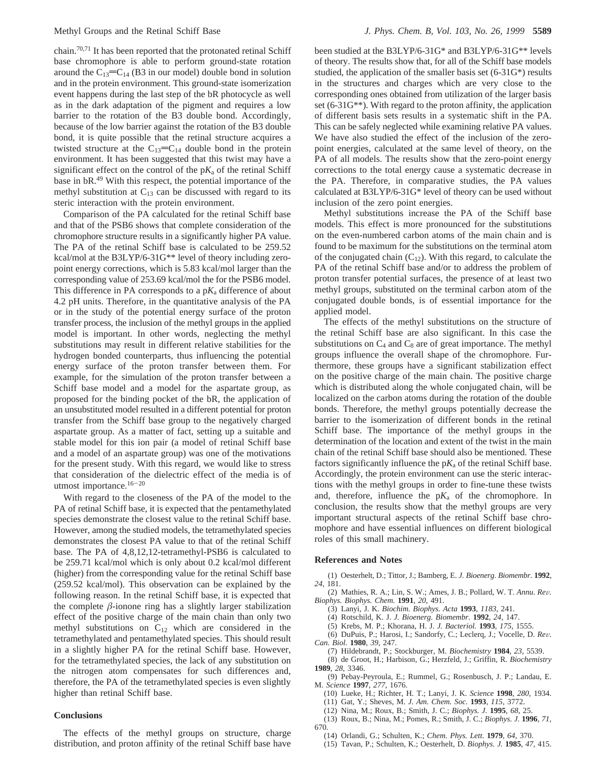chain.70,71 It has been reported that the protonated retinal Schiff base chromophore is able to perform ground-state rotation around the  $C_{13}$ = $C_{14}$  (B3 in our model) double bond in solution and in the protein environment. This ground-state isomerization event happens during the last step of the bR photocycle as well as in the dark adaptation of the pigment and requires a low barrier to the rotation of the B3 double bond. Accordingly, because of the low barrier against the rotation of the B3 double bond, it is quite possible that the retinal structure acquires a twisted structure at the  $C_{13}=C_{14}$  double bond in the protein environment. It has been suggested that this twist may have a significant effect on the control of the  $pK_a$  of the retinal Schiff base in bR.49 With this respect, the potential importance of the methyl substitution at  $C_{13}$  can be discussed with regard to its steric interaction with the protein environment.

Comparison of the PA calculated for the retinal Schiff base and that of the PSB6 shows that complete consideration of the chromophore structure results in a significantly higher PA value. The PA of the retinal Schiff base is calculated to be 259.52 kcal/mol at the B3LYP/6-31G\*\* level of theory including zeropoint energy corrections, which is 5.83 kcal/mol larger than the corresponding value of 253.69 kcal/mol the for the PSB6 model. This difference in PA corresponds to a p*K*<sup>a</sup> difference of about 4.2 pH units. Therefore, in the quantitative analysis of the PA or in the study of the potential energy surface of the proton transfer process, the inclusion of the methyl groups in the applied model is important. In other words, neglecting the methyl substitutions may result in different relative stabilities for the hydrogen bonded counterparts, thus influencing the potential energy surface of the proton transfer between them. For example, for the simulation of the proton transfer between a Schiff base model and a model for the aspartate group, as proposed for the binding pocket of the bR, the application of an unsubstituted model resulted in a different potential for proton transfer from the Schiff base group to the negatively charged aspartate group. As a matter of fact, setting up a suitable and stable model for this ion pair (a model of retinal Schiff base and a model of an aspartate group) was one of the motivations for the present study. With this regard, we would like to stress that consideration of the dielectric effect of the media is of utmost importance.16-<sup>20</sup>

With regard to the closeness of the PA of the model to the PA of retinal Schiff base, it is expected that the pentamethylated species demonstrate the closest value to the retinal Schiff base. However, among the studied models, the tetramethylated species demonstrates the closest PA value to that of the retinal Schiff base. The PA of 4,8,12,12-tetramethyl-PSB6 is calculated to be 259.71 kcal/mol which is only about 0.2 kcal/mol different (higher) from the corresponding value for the retinal Schiff base (259.52 kcal/mol). This observation can be explained by the following reason. In the retinal Schiff base, it is expected that the complete  $\beta$ -ionone ring has a slightly larger stabilization effect of the positive charge of the main chain than only two methyl substitutions on  $C_{12}$  which are considered in the tetramethylated and pentamethylated species. This should result in a slightly higher PA for the retinal Schiff base. However, for the tetramethylated species, the lack of any substitution on the nitrogen atom compensates for such differences and, therefore, the PA of the tetramethylated species is even slightly higher than retinal Schiff base.

#### **Conclusions**

The effects of the methyl groups on structure, charge distribution, and proton affinity of the retinal Schiff base have been studied at the B3LYP/6-31G\* and B3LYP/6-31G\*\* levels of theory. The results show that, for all of the Schiff base models studied, the application of the smaller basis set (6-31G\*) results in the structures and charges which are very close to the corresponding ones obtained from utilization of the larger basis set (6-31G\*\*). With regard to the proton affinity, the application of different basis sets results in a systematic shift in the PA. This can be safely neglected while examining relative PA values. We have also studied the effect of the inclusion of the zeropoint energies, calculated at the same level of theory, on the PA of all models. The results show that the zero-point energy corrections to the total energy cause a systematic decrease in the PA. Therefore, in comparative studies, the PA values calculated at B3LYP/6-31G\* level of theory can be used without inclusion of the zero point energies.

Methyl substitutions increase the PA of the Schiff base models. This effect is more pronounced for the substitutions on the even-numbered carbon atoms of the main chain and is found to be maximum for the substitutions on the terminal atom of the conjugated chain  $(C_{12})$ . With this regard, to calculate the PA of the retinal Schiff base and/or to address the problem of proton transfer potential surfaces, the presence of at least two methyl groups, substituted on the terminal carbon atom of the conjugated double bonds, is of essential importance for the applied model.

The effects of the methyl substitutions on the structure of the retinal Schiff base are also significant. In this case the substitutions on  $C_4$  and  $C_8$  are of great importance. The methyl groups influence the overall shape of the chromophore. Furthermore, these groups have a significant stabilization effect on the positive charge of the main chain. The positive charge which is distributed along the whole conjugated chain, will be localized on the carbon atoms during the rotation of the double bonds. Therefore, the methyl groups potentially decrease the barrier to the isomerization of different bonds in the retinal Schiff base. The importance of the methyl groups in the determination of the location and extent of the twist in the main chain of the retinal Schiff base should also be mentioned. These factors significantly influence the  $pK_a$  of the retinal Schiff base. Accordingly, the protein environment can use the steric interactions with the methyl groups in order to fine-tune these twists and, therefore, influence the  $pK_a$  of the chromophore. In conclusion, the results show that the methyl groups are very important structural aspects of the retinal Schiff base chromophore and have essential influences on different biological roles of this small machinery.

#### **References and Notes**

(1) Oesterhelt, D.; Tittor, J.; Bamberg, E. *J. Bioenerg. Biomembr.* **1992**, *24*, 181.

(2) Mathies, R. A.; Lin, S. W.; Ames, J. B.; Pollard, W. T. *Annu. Re*V*. Biophys. Biophys. Chem.* **1991**, *20*, 491.

(3) Lanyi, J. K. *Biochim. Biophys. Acta* **1993**, *1183*, 241.

(4) Rotschild, K. J. *J. Bioenerg. Biomembr.* **1992**, *24*, 147.

(5) Krebs, M. P.; Khorana, H. J. *J. Bacteriol.* **1993**, *175*, 1555.

(6) DuPuis, P.; Harosi, I.; Sandorfy, C.; Leclerq, J.; Vocelle, D. *Re*V*. Can. Biol.* **1980**, *39*, 247.

(7) Hildebrandt, P.; Stockburger, M. *Biochemistry* **1984**, *23*, 5539. (8) de Groot, H.; Harbison, G.; Herzfeld, J.; Griffin, R. *Biochemistry*

**1989**, *28*, 3346. (9) Pebay-Peyroula, E.; Rummel, G.; Rosenbusch, J. P.; Landau, E. M. *Science* **1997**, *277*, 1676.

(10) Lueke, H.; Richter, H. T.; Lanyi, J. K. *Science* **1998**, *280*, 1934.

(11) Gat, Y.; Sheves, M. *J. Am. Chem. Soc.* **1993**, *115*, 3772.

(12) Nina, M.; Roux, B.; Smith, J. C.; *Biophys. J.* **1995**, *68*, 25.

(13) Roux, B.; Nina, M.; Pomes, R.; Smith, J. C.; *Biophys. J.* **1996**, *71*, 670.

(14) Orlandi, G.; Schulten, K.; *Chem. Phys. Lett.* **1979**, *64*, 370.

(15) Tavan, P.; Schulten, K.; Oesterhelt, D. *Biophys. J.* **1985**, *47*, 415.